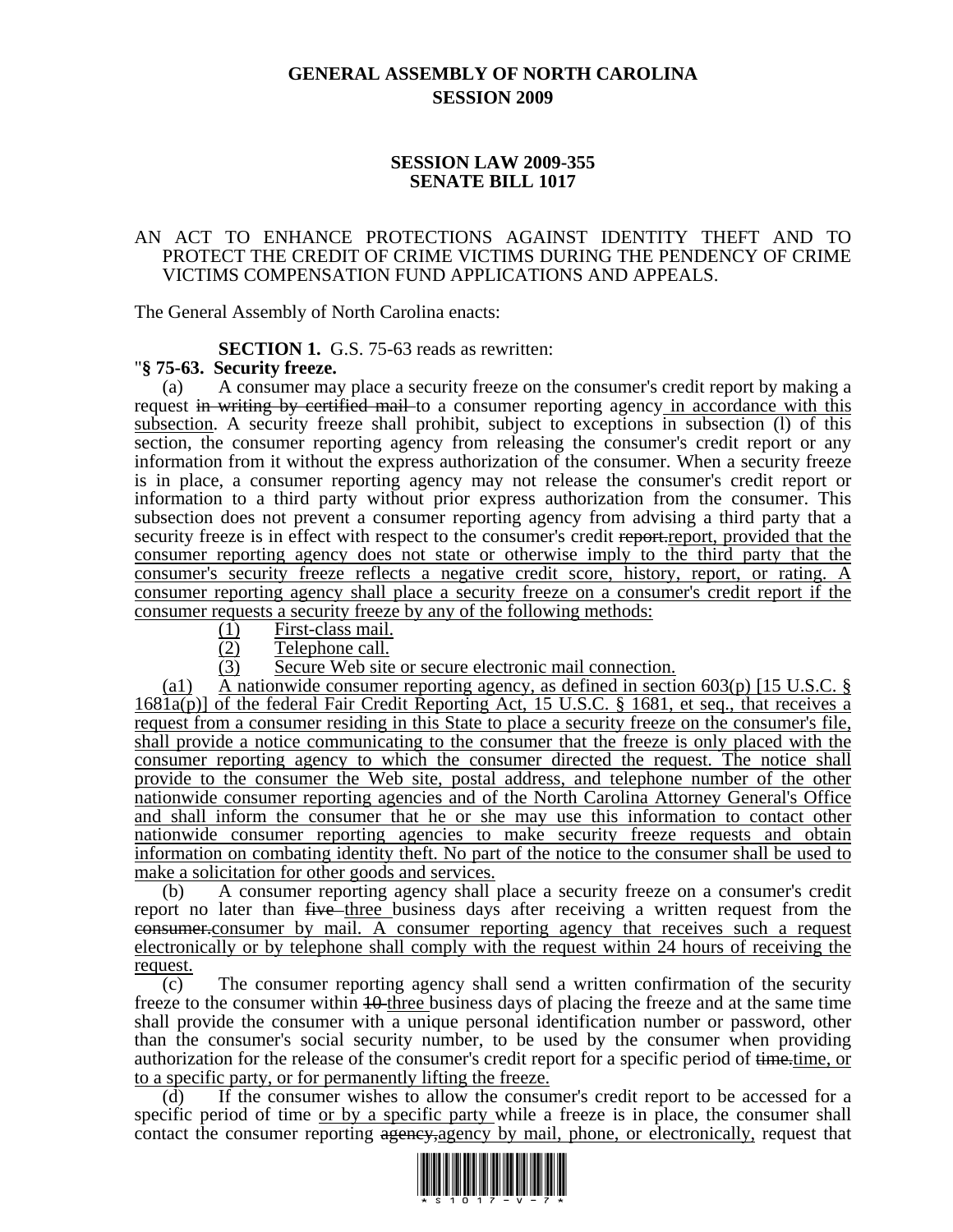## **GENERAL ASSEMBLY OF NORTH CAROLINA SESSION 2009**

## **SESSION LAW 2009-355 SENATE BILL 1017**

### AN ACT TO ENHANCE PROTECTIONS AGAINST IDENTITY THEFT AND TO PROTECT THE CREDIT OF CRIME VICTIMS DURING THE PENDENCY OF CRIME VICTIMS COMPENSATION FUND APPLICATIONS AND APPEALS.

The General Assembly of North Carolina enacts:

# **SECTION 1.** G.S. 75-63 reads as rewritten: "**§ 75-63. Security freeze.**

(a) A consumer may place a security freeze on the consumer's credit report by making a request in writing by certified mail to a consumer reporting agency in accordance with this subsection. A security freeze shall prohibit, subject to exceptions in subsection (l) of this section, the consumer reporting agency from releasing the consumer's credit report or any information from it without the express authorization of the consumer. When a security freeze is in place, a consumer reporting agency may not release the consumer's credit report or information to a third party without prior express authorization from the consumer. This subsection does not prevent a consumer reporting agency from advising a third party that a security freeze is in effect with respect to the consumer's credit report-report, provided that the consumer reporting agency does not state or otherwise imply to the third party that the consumer's security freeze reflects a negative credit score, history, report, or rating. A consumer reporting agency shall place a security freeze on a consumer's credit report if the consumer requests a security freeze by any of the following methods:

- (1) First-class mail.
- (2) Telephone call.
- (3) Secure Web site or secure electronic mail connection.

(a1) A nationwide consumer reporting agency, as defined in section  $603(p)$  [15 U.S.C. §  $1681a(p)$ ] of the federal Fair Credit Reporting Act, 15 U.S.C. § 1681, et seq., that receives a request from a consumer residing in this State to place a security freeze on the consumer's file, shall provide a notice communicating to the consumer that the freeze is only placed with the consumer reporting agency to which the consumer directed the request. The notice shall provide to the consumer the Web site, postal address, and telephone number of the other nationwide consumer reporting agencies and of the North Carolina Attorney General's Office and shall inform the consumer that he or she may use this information to contact other nationwide consumer reporting agencies to make security freeze requests and obtain information on combating identity theft. No part of the notice to the consumer shall be used to make a solicitation for other goods and services.

(b) A consumer reporting agency shall place a security freeze on a consumer's credit report no later than five three business days after receiving a written request from the consumer.consumer by mail. A consumer reporting agency that receives such a request electronically or by telephone shall comply with the request within 24 hours of receiving the request.

(c) The consumer reporting agency shall send a written confirmation of the security freeze to the consumer within  $10$ -three business days of placing the freeze and at the same time shall provide the consumer with a unique personal identification number or password, other than the consumer's social security number, to be used by the consumer when providing authorization for the release of the consumer's credit report for a specific period of time.time, or to a specific party, or for permanently lifting the freeze.

(d) If the consumer wishes to allow the consumer's credit report to be accessed for a specific period of time or by a specific party while a freeze is in place, the consumer shall contact the consumer reporting agency, agency by mail, phone, or electronically, request that

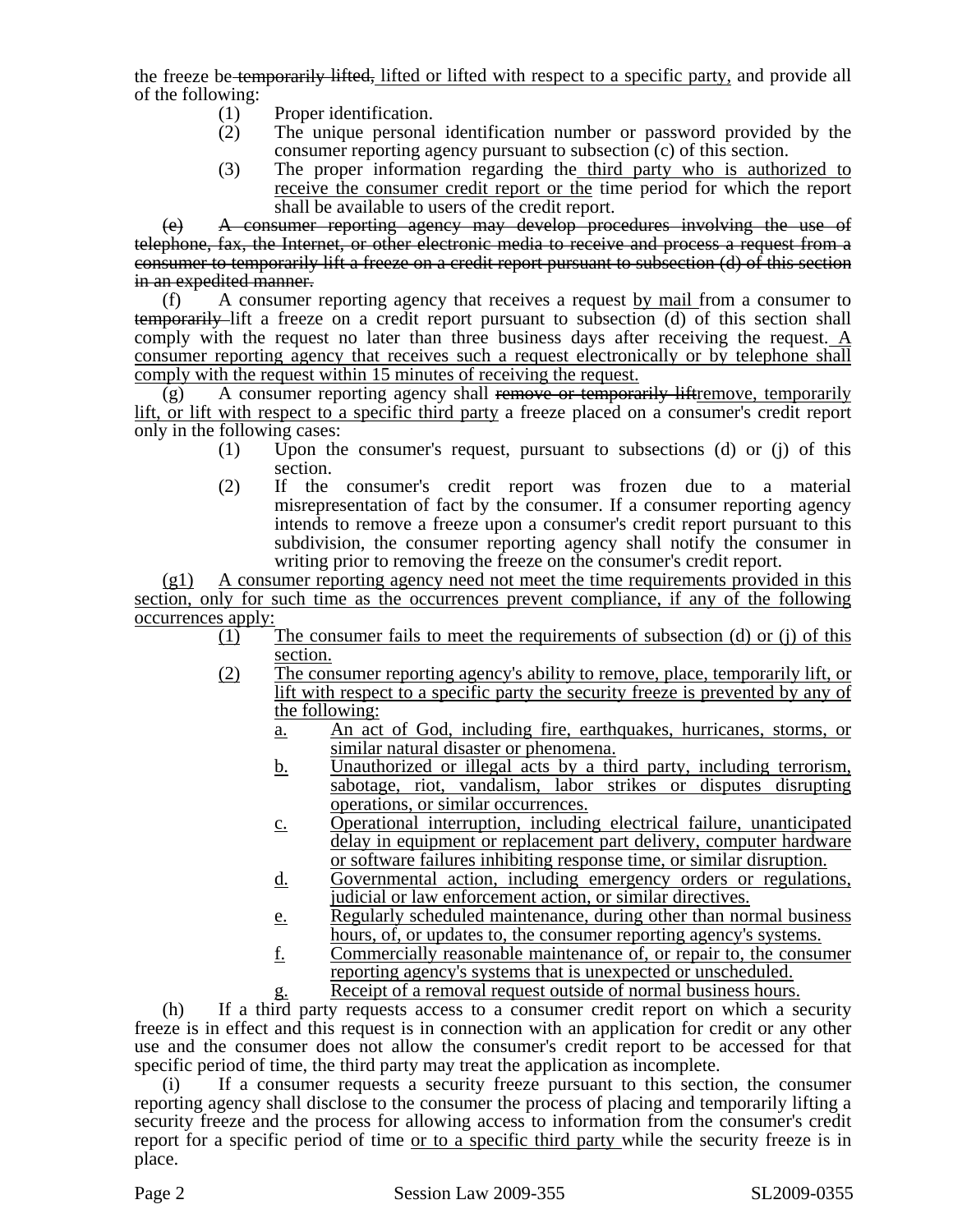the freeze be temporarily lifted, lifted or lifted with respect to a specific party, and provide all of the following:

- (1) Proper identification.
- (2) The unique personal identification number or password provided by the consumer reporting agency pursuant to subsection (c) of this section.
- (3) The proper information regarding the third party who is authorized to receive the consumer credit report or the time period for which the report shall be available to users of the credit report.

(e) A consumer reporting agency may develop procedures involving the use of telephone, fax, the Internet, or other electronic media to receive and process a request from a consumer to temporarily lift a freeze on a credit report pursuant to subsection (d) of this section in an expedited manner.

(f) A consumer reporting agency that receives a request by mail from a consumer to temporarily lift a freeze on a credit report pursuant to subsection (d) of this section shall comply with the request no later than three business days after receiving the request. A consumer reporting agency that receives such a request electronically or by telephone shall comply with the request within 15 minutes of receiving the request.

 $(g)$  A consumer reporting agency shall remove or temporarily liftremove, temporarily lift, or lift with respect to a specific third party a freeze placed on a consumer's credit report only in the following cases:

- (1) Upon the consumer's request, pursuant to subsections (d) or (j) of this section.
- (2) If the consumer's credit report was frozen due to a material misrepresentation of fact by the consumer. If a consumer reporting agency intends to remove a freeze upon a consumer's credit report pursuant to this subdivision, the consumer reporting agency shall notify the consumer in writing prior to removing the freeze on the consumer's credit report.

(g1) A consumer reporting agency need not meet the time requirements provided in this section, only for such time as the occurrences prevent compliance, if any of the following occurrences apply:

- (1) The consumer fails to meet the requirements of subsection (d) or (j) of this section.
- (2) The consumer reporting agency's ability to remove, place, temporarily lift, or lift with respect to a specific party the security freeze is prevented by any of the following:
	- a. An act of God, including fire, earthquakes, hurricanes, storms, or similar natural disaster or phenomena.
	- b. Unauthorized or illegal acts by a third party, including terrorism, sabotage, riot, vandalism, labor strikes or disputes disrupting operations, or similar occurrences.
	- c. Operational interruption, including electrical failure, unanticipated delay in equipment or replacement part delivery, computer hardware or software failures inhibiting response time, or similar disruption.
	- d. Governmental action, including emergency orders or regulations, judicial or law enforcement action, or similar directives.
	- e. Regularly scheduled maintenance, during other than normal business hours, of, or updates to, the consumer reporting agency's systems.
	- f. Commercially reasonable maintenance of, or repair to, the consumer reporting agency's systems that is unexpected or unscheduled.
		- Receipt of a removal request outside of normal business hours.

(h) If a third party requests access to a consumer credit report on which a security freeze is in effect and this request is in connection with an application for credit or any other use and the consumer does not allow the consumer's credit report to be accessed for that specific period of time, the third party may treat the application as incomplete.

(i) If a consumer requests a security freeze pursuant to this section, the consumer reporting agency shall disclose to the consumer the process of placing and temporarily lifting a security freeze and the process for allowing access to information from the consumer's credit report for a specific period of time or to a specific third party while the security freeze is in place.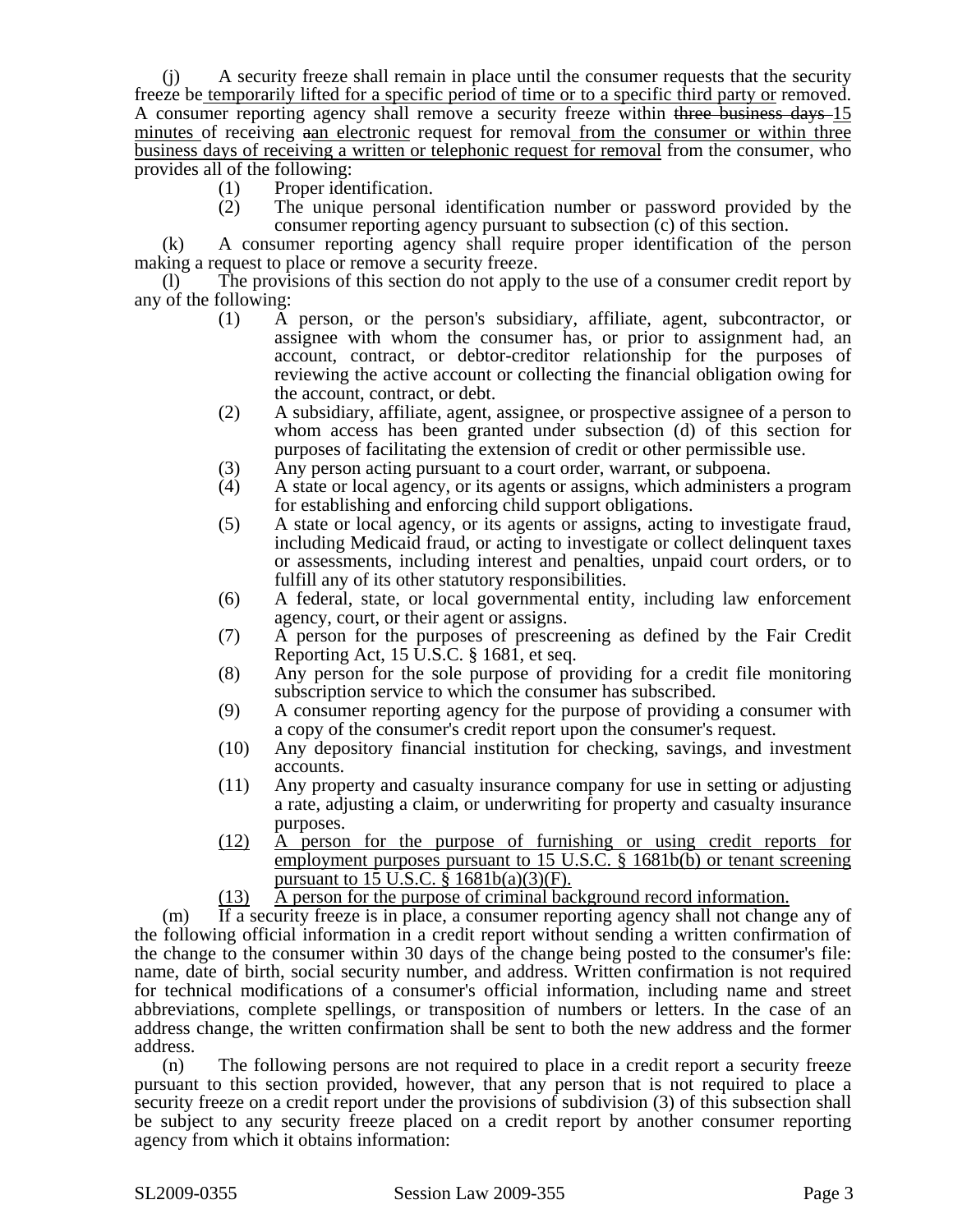(j) A security freeze shall remain in place until the consumer requests that the security freeze be temporarily lifted for a specific period of time or to a specific third party or removed. A consumer reporting agency shall remove a security freeze within three business days 15 minutes of receiving aan electronic request for removal from the consumer or within three business days of receiving a written or telephonic request for removal from the consumer, who provides all of the following:

- (1) Proper identification.
- (2) The unique personal identification number or password provided by the consumer reporting agency pursuant to subsection (c) of this section.

(k) A consumer reporting agency shall require proper identification of the person making a request to place or remove a security freeze.

(l) The provisions of this section do not apply to the use of a consumer credit report by any of the following:

- (1) A person, or the person's subsidiary, affiliate, agent, subcontractor, or assignee with whom the consumer has, or prior to assignment had, an account, contract, or debtor-creditor relationship for the purposes of reviewing the active account or collecting the financial obligation owing for the account, contract, or debt.
- (2) A subsidiary, affiliate, agent, assignee, or prospective assignee of a person to whom access has been granted under subsection (d) of this section for purposes of facilitating the extension of credit or other permissible use.
- 
- (3) Any person acting pursuant to a court order, warrant, or subpoena.<br>(4) A state or local agency, or its agents or assigns, which administers (4) A state or local agency, or its agents or assigns, which administers a program for establishing and enforcing child support obligations.
- (5) A state or local agency, or its agents or assigns, acting to investigate fraud, including Medicaid fraud, or acting to investigate or collect delinquent taxes or assessments, including interest and penalties, unpaid court orders, or to fulfill any of its other statutory responsibilities.
- (6) A federal, state, or local governmental entity, including law enforcement agency, court, or their agent or assigns.
- (7) A person for the purposes of prescreening as defined by the Fair Credit Reporting Act, 15 U.S.C. § 1681, et seq.
- (8) Any person for the sole purpose of providing for a credit file monitoring subscription service to which the consumer has subscribed.
- (9) A consumer reporting agency for the purpose of providing a consumer with a copy of the consumer's credit report upon the consumer's request.
- (10) Any depository financial institution for checking, savings, and investment accounts.
- (11) Any property and casualty insurance company for use in setting or adjusting a rate, adjusting a claim, or underwriting for property and casualty insurance purposes.
- (12) A person for the purpose of furnishing or using credit reports for employment purposes pursuant to 15 U.S.C. § 1681b(b) or tenant screening pursuant to  $15 \overline{\text{U.S.C.} }$  §  $1681\text{b(a)}(3)$ (F).
- (13) A person for the purpose of criminal background record information.

(m) If a security freeze is in place, a consumer reporting agency shall not change any of the following official information in a credit report without sending a written confirmation of the change to the consumer within 30 days of the change being posted to the consumer's file: name, date of birth, social security number, and address. Written confirmation is not required for technical modifications of a consumer's official information, including name and street abbreviations, complete spellings, or transposition of numbers or letters. In the case of an address change, the written confirmation shall be sent to both the new address and the former address.

(n) The following persons are not required to place in a credit report a security freeze pursuant to this section provided, however, that any person that is not required to place a security freeze on a credit report under the provisions of subdivision (3) of this subsection shall be subject to any security freeze placed on a credit report by another consumer reporting agency from which it obtains information: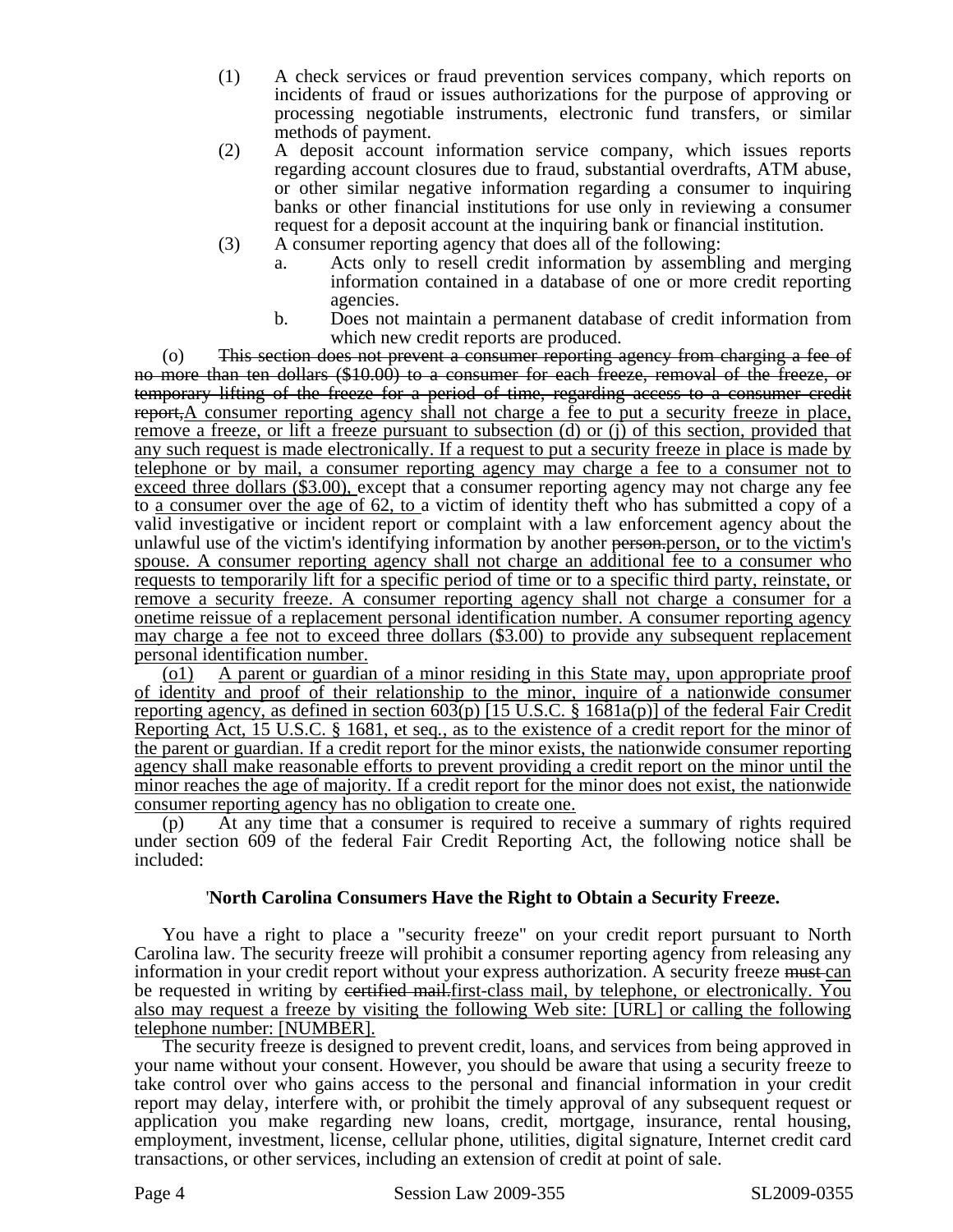- (1) A check services or fraud prevention services company, which reports on incidents of fraud or issues authorizations for the purpose of approving or processing negotiable instruments, electronic fund transfers, or similar methods of payment.
- (2) A deposit account information service company, which issues reports regarding account closures due to fraud, substantial overdrafts, ATM abuse, or other similar negative information regarding a consumer to inquiring banks or other financial institutions for use only in reviewing a consumer request for a deposit account at the inquiring bank or financial institution.
- (3) A consumer reporting agency that does all of the following:
	- a. Acts only to resell credit information by assembling and merging information contained in a database of one or more credit reporting agencies.
	- b. Does not maintain a permanent database of credit information from which new credit reports are produced.

(o) This section does not prevent a consumer reporting agency from charging a fee of no more than ten dollars (\$10.00) to a consumer for each freeze, removal of the freeze, or temporary lifting of the freeze for a period of time, regarding access to a consumer credit report, $A$  consumer reporting agency shall not charge a fee to put a security freeze in place, remove a freeze, or lift a freeze pursuant to subsection (d) or (j) of this section, provided that any such request is made electronically. If a request to put a security freeze in place is made by telephone or by mail, a consumer reporting agency may charge a fee to a consumer not to exceed three dollars (\$3.00), except that a consumer reporting agency may not charge any fee to a consumer over the age of 62, to a victim of identity theft who has submitted a copy of a valid investigative or incident report or complaint with a law enforcement agency about the unlawful use of the victim's identifying information by another person, person, or to the victim's spouse. A consumer reporting agency shall not charge an additional fee to a consumer who requests to temporarily lift for a specific period of time or to a specific third party, reinstate, or remove a security freeze. A consumer reporting agency shall not charge a consumer for a onetime reissue of a replacement personal identification number. A consumer reporting agency may charge a fee not to exceed three dollars (\$3.00) to provide any subsequent replacement personal identification number.

(o1) A parent or guardian of a minor residing in this State may, upon appropriate proof of identity and proof of their relationship to the minor, inquire of a nationwide consumer reporting agency, as defined in section 603(p) [15 U.S.C. § 1681a(p)] of the federal Fair Credit Reporting Act, 15 U.S.C. § 1681, et seq*.*, as to the existence of a credit report for the minor of the parent or guardian. If a credit report for the minor exists, the nationwide consumer reporting agency shall make reasonable efforts to prevent providing a credit report on the minor until the minor reaches the age of majority. If a credit report for the minor does not exist, the nationwide consumer reporting agency has no obligation to create one.

(p) At any time that a consumer is required to receive a summary of rights required under section 609 of the federal Fair Credit Reporting Act, the following notice shall be included:

## '**North Carolina Consumers Have the Right to Obtain a Security Freeze.**

You have a right to place a "security freeze" on your credit report pursuant to North Carolina law. The security freeze will prohibit a consumer reporting agency from releasing any information in your credit report without your express authorization. A security freeze must can be requested in writing by eertified mail.first-class mail, by telephone, or electronically. You also may request a freeze by visiting the following Web site: [URL] or calling the following telephone number: [NUMBER].

The security freeze is designed to prevent credit, loans, and services from being approved in your name without your consent. However, you should be aware that using a security freeze to take control over who gains access to the personal and financial information in your credit report may delay, interfere with, or prohibit the timely approval of any subsequent request or application you make regarding new loans, credit, mortgage, insurance, rental housing, employment, investment, license, cellular phone, utilities, digital signature, Internet credit card transactions, or other services, including an extension of credit at point of sale.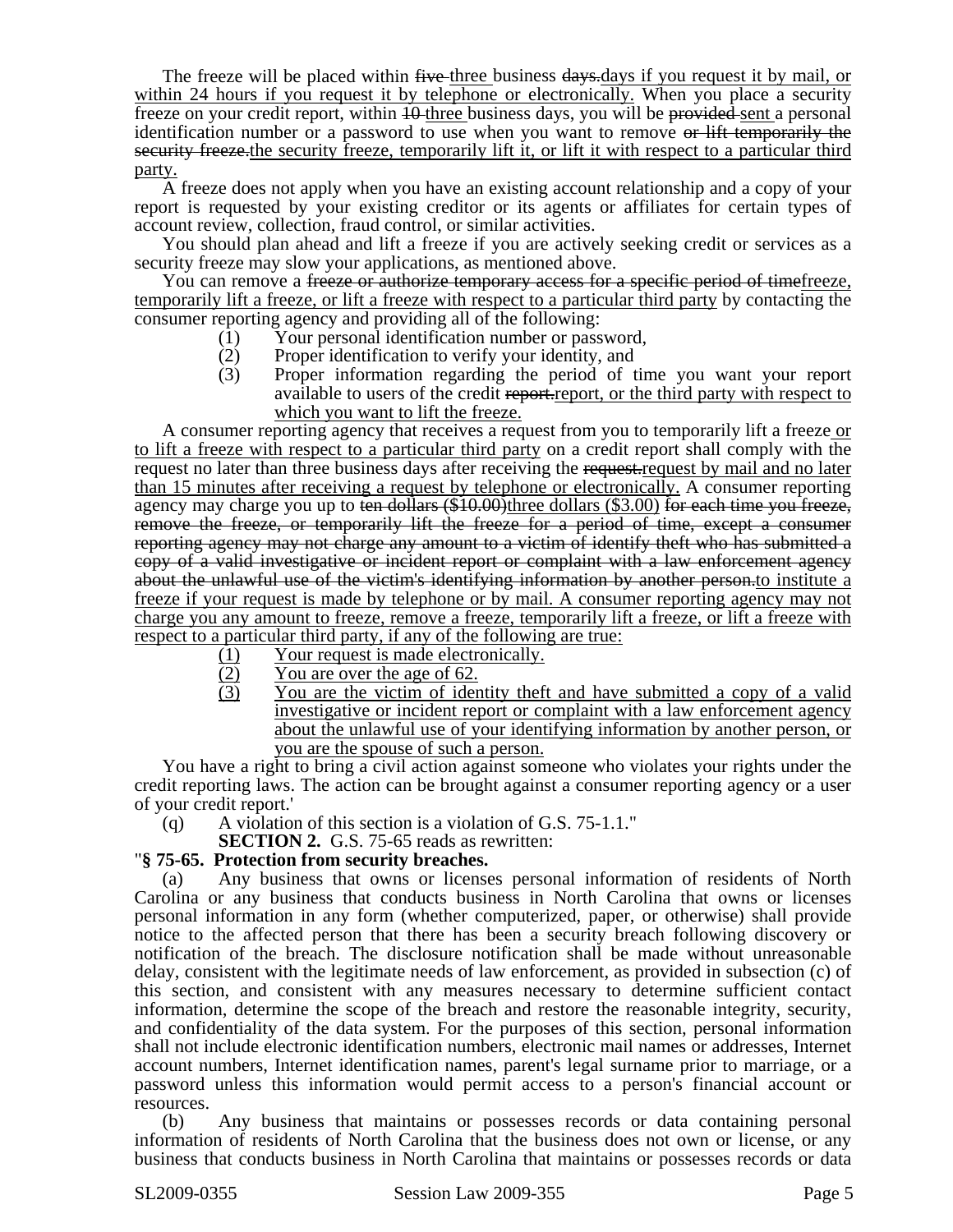The freeze will be placed within five three business days days if you request it by mail, or within 24 hours if you request it by telephone or electronically. When you place a security freeze on your credit report, within 10-three business days, you will be provided sent a personal identification number or a password to use when you want to remove or lift temporarily the security freeze.the security freeze, temporarily lift it, or lift it with respect to a particular third party.

A freeze does not apply when you have an existing account relationship and a copy of your report is requested by your existing creditor or its agents or affiliates for certain types of account review, collection, fraud control, or similar activities.

You should plan ahead and lift a freeze if you are actively seeking credit or services as a security freeze may slow your applications, as mentioned above.

You can remove a freeze or authorize temporary access for a specific period of timefreeze, temporarily lift a freeze, or lift a freeze with respect to a particular third party by contacting the consumer reporting agency and providing all of the following:

- (1) Your personal identification number or password,
- (2) Proper identification to verify your identity, and
- (3) Proper information regarding the period of time you want your report available to users of the credit report.report, or the third party with respect to which you want to lift the freeze.

A consumer reporting agency that receives a request from you to temporarily lift a freeze or to lift a freeze with respect to a particular third party on a credit report shall comply with the request no later than three business days after receiving the request-request by mail and no later than 15 minutes after receiving a request by telephone or electronically. A consumer reporting agency may charge you up to ten dollars (\$10.00)three dollars (\$3.00) for each time you freeze, remove the freeze, or temporarily lift the freeze for a period of time, except a consumer reporting agency may not charge any amount to a victim of identify theft who has submitted a copy of a valid investigative or incident report or complaint with a law enforcement agency about the unlawful use of the victim's identifying information by another person.to institute a freeze if your request is made by telephone or by mail. A consumer reporting agency may not charge you any amount to freeze, remove a freeze, temporarily lift a freeze, or lift a freeze with respect to a particular third party, if any of the following are true:

- (1) Your request is made electronically.
- $\frac{(2)}{(3)}$  You are over the age of 62.<br>You are the victim of iden
- You are the victim of identity theft and have submitted a copy of a valid investigative or incident report or complaint with a law enforcement agency about the unlawful use of your identifying information by another person, or you are the spouse of such a person.

You have a right to bring a civil action against someone who violates your rights under the credit reporting laws. The action can be brought against a consumer reporting agency or a user of your credit report.'

(q) A violation of this section is a violation of G.S. 75-1.1."

## **SECTION 2.** G.S. 75-65 reads as rewritten: "**§ 75-65. Protection from security breaches.**

Any business that owns or licenses personal information of residents of North Carolina or any business that conducts business in North Carolina that owns or licenses personal information in any form (whether computerized, paper, or otherwise) shall provide notice to the affected person that there has been a security breach following discovery or notification of the breach. The disclosure notification shall be made without unreasonable delay, consistent with the legitimate needs of law enforcement, as provided in subsection (c) of this section, and consistent with any measures necessary to determine sufficient contact information, determine the scope of the breach and restore the reasonable integrity, security, and confidentiality of the data system. For the purposes of this section, personal information shall not include electronic identification numbers, electronic mail names or addresses, Internet account numbers, Internet identification names, parent's legal surname prior to marriage, or a password unless this information would permit access to a person's financial account or resources.

(b) Any business that maintains or possesses records or data containing personal information of residents of North Carolina that the business does not own or license, or any business that conducts business in North Carolina that maintains or possesses records or data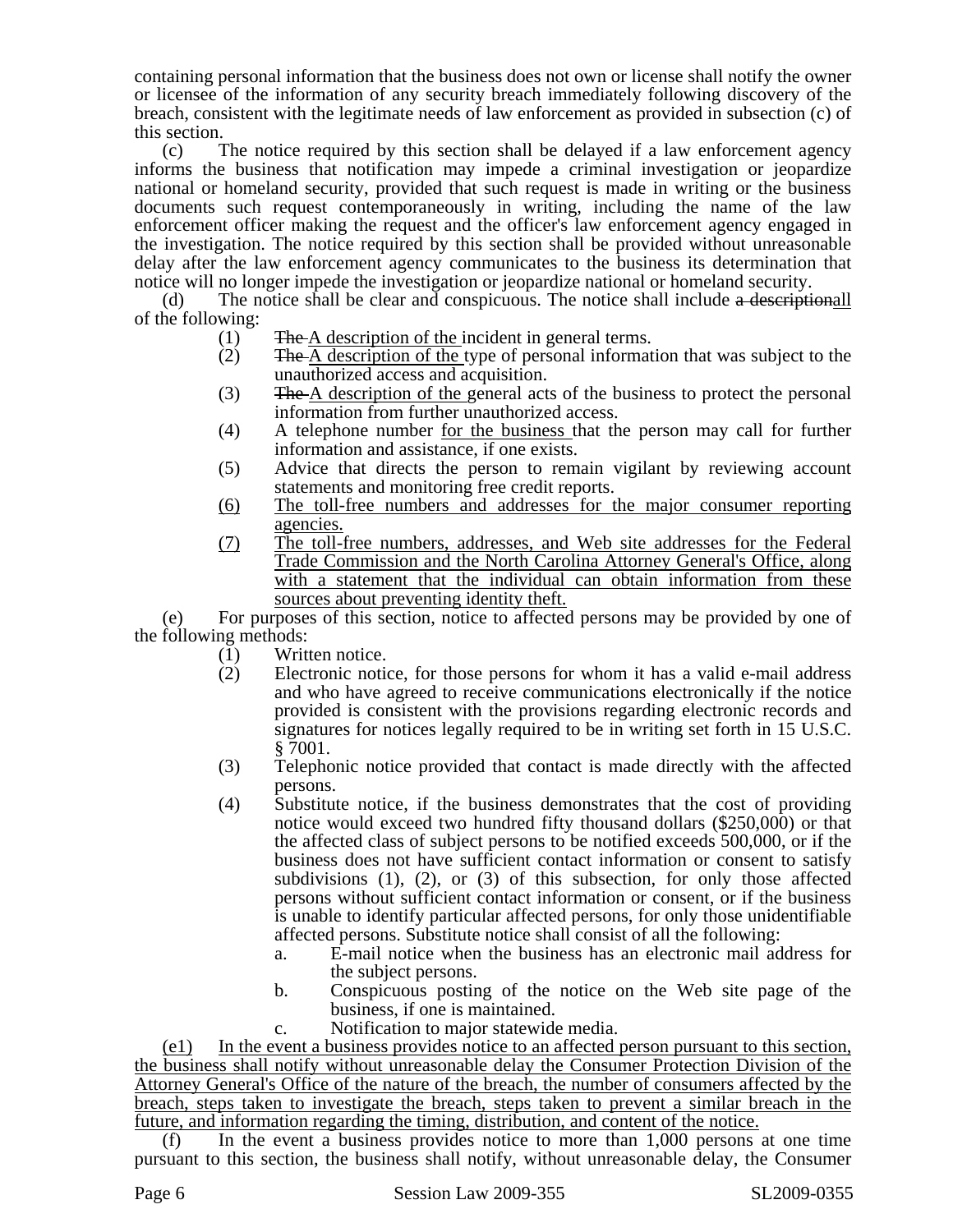containing personal information that the business does not own or license shall notify the owner or licensee of the information of any security breach immediately following discovery of the breach, consistent with the legitimate needs of law enforcement as provided in subsection (c) of this section.

(c) The notice required by this section shall be delayed if a law enforcement agency informs the business that notification may impede a criminal investigation or jeopardize national or homeland security, provided that such request is made in writing or the business documents such request contemporaneously in writing, including the name of the law enforcement officer making the request and the officer's law enforcement agency engaged in the investigation. The notice required by this section shall be provided without unreasonable delay after the law enforcement agency communicates to the business its determination that notice will no longer impede the investigation or jeopardize national or homeland security.

(d) The notice shall be clear and conspicuous. The notice shall include a descriptionall of the following:

- (1) The A description of the incident in general terms.
- (2) The A description of the type of personal information that was subject to the unauthorized access and acquisition.
- (3) The A description of the general acts of the business to protect the personal information from further unauthorized access.
- (4) A telephone number for the business that the person may call for further information and assistance, if one exists.
- (5) Advice that directs the person to remain vigilant by reviewing account statements and monitoring free credit reports.
- (6) The toll-free numbers and addresses for the major consumer reporting agencies.
- (7) The toll-free numbers, addresses, and Web site addresses for the Federal Trade Commission and the North Carolina Attorney General's Office, along with a statement that the individual can obtain information from these sources about preventing identity theft.

(e) For purposes of this section, notice to affected persons may be provided by one of the following methods:

- (1) Written notice.
- (2) Electronic notice, for those persons for whom it has a valid e-mail address and who have agreed to receive communications electronically if the notice provided is consistent with the provisions regarding electronic records and signatures for notices legally required to be in writing set forth in 15 U.S.C. § 7001.
- (3) Telephonic notice provided that contact is made directly with the affected persons.
- (4) Substitute notice, if the business demonstrates that the cost of providing notice would exceed two hundred fifty thousand dollars (\$250,000) or that the affected class of subject persons to be notified exceeds 500,000, or if the business does not have sufficient contact information or consent to satisfy subdivisions (1), (2), or (3) of this subsection, for only those affected persons without sufficient contact information or consent, or if the business is unable to identify particular affected persons, for only those unidentifiable affected persons. Substitute notice shall consist of all the following:
	- a. E-mail notice when the business has an electronic mail address for the subject persons.
	- b. Conspicuous posting of the notice on the Web site page of the business, if one is maintained.
	- c. Notification to major statewide media.

(e1) In the event a business provides notice to an affected person pursuant to this section, the business shall notify without unreasonable delay the Consumer Protection Division of the Attorney General's Office of the nature of the breach, the number of consumers affected by the breach, steps taken to investigate the breach, steps taken to prevent a similar breach in the future, and information regarding the timing, distribution, and content of the notice.

In the event a business provides notice to more than  $1,000$  persons at one time pursuant to this section, the business shall notify, without unreasonable delay, the Consumer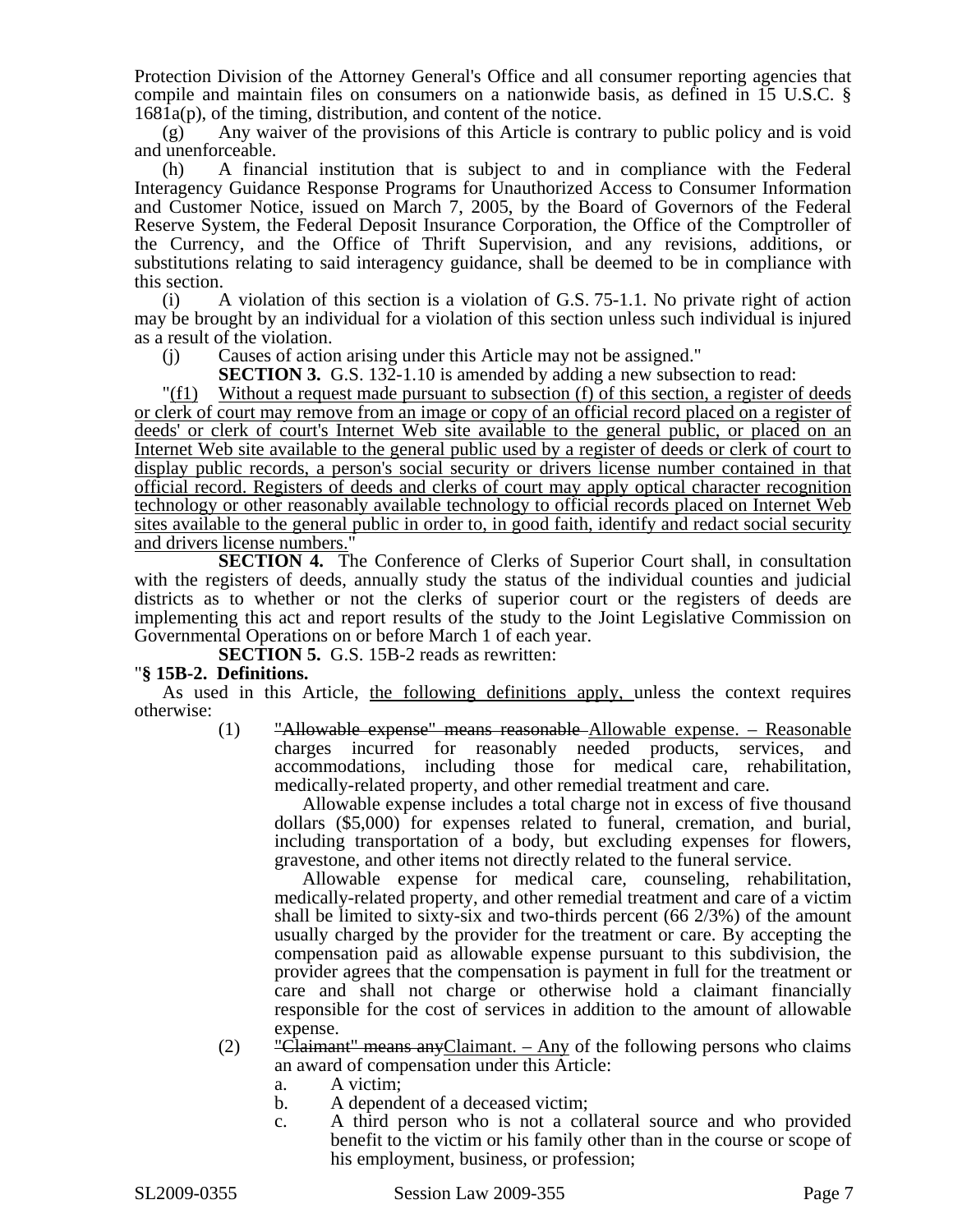Protection Division of the Attorney General's Office and all consumer reporting agencies that compile and maintain files on consumers on a nationwide basis, as defined in 15 U.S.C. § 1681a(p), of the timing, distribution, and content of the notice.

(g) Any waiver of the provisions of this Article is contrary to public policy and is void and unenforceable.

(h) A financial institution that is subject to and in compliance with the Federal Interagency Guidance Response Programs for Unauthorized Access to Consumer Information and Customer Notice, issued on March 7, 2005, by the Board of Governors of the Federal Reserve System, the Federal Deposit Insurance Corporation, the Office of the Comptroller of the Currency, and the Office of Thrift Supervision, and any revisions, additions, or substitutions relating to said interagency guidance, shall be deemed to be in compliance with this section.

(i) A violation of this section is a violation of G.S. 75-1.1. No private right of action may be brought by an individual for a violation of this section unless such individual is injured as a result of the violation.

(j) Causes of action arising under this Article may not be assigned."

**SECTION 3.** G.S. 132-1.10 is amended by adding a new subsection to read:

"(f1) Without a request made pursuant to subsection (f) of this section, a register of deeds or clerk of court may remove from an image or copy of an official record placed on a register of deeds' or clerk of court's Internet Web site available to the general public, or placed on an Internet Web site available to the general public used by a register of deeds or clerk of court to display public records, a person's social security or drivers license number contained in that official record. Registers of deeds and clerks of court may apply optical character recognition technology or other reasonably available technology to official records placed on Internet Web sites available to the general public in order to, in good faith, identify and redact social security and drivers license numbers."

**SECTION 4.** The Conference of Clerks of Superior Court shall, in consultation with the registers of deeds, annually study the status of the individual counties and judicial districts as to whether or not the clerks of superior court or the registers of deeds are implementing this act and report results of the study to the Joint Legislative Commission on Governmental Operations on or before March 1 of each year.

**SECTION 5.** G.S. 15B-2 reads as rewritten:

## "**§ 15B-2. Definitions.**

As used in this Article, the following definitions apply, unless the context requires otherwise:

(1) "Allowable expense" means reasonable Allowable expense. – Reasonable charges incurred for reasonably needed products, services, and accommodations, including those for medical care, rehabilitation, medically-related property, and other remedial treatment and care.

Allowable expense includes a total charge not in excess of five thousand dollars (\$5,000) for expenses related to funeral, cremation, and burial, including transportation of a body, but excluding expenses for flowers, gravestone, and other items not directly related to the funeral service.

Allowable expense for medical care, counseling, rehabilitation, medically-related property, and other remedial treatment and care of a victim shall be limited to sixty-six and two-thirds percent (66 2/3%) of the amount usually charged by the provider for the treatment or care. By accepting the compensation paid as allowable expense pursuant to this subdivision, the provider agrees that the compensation is payment in full for the treatment or care and shall not charge or otherwise hold a claimant financially responsible for the cost of services in addition to the amount of allowable expense.

- $(2)$  "Claimant" means any Claimant. Any of the following persons who claims an award of compensation under this Article:
	- a. A victim;
	- b. A dependent of a deceased victim;
	- c. A third person who is not a collateral source and who provided benefit to the victim or his family other than in the course or scope of his employment, business, or profession;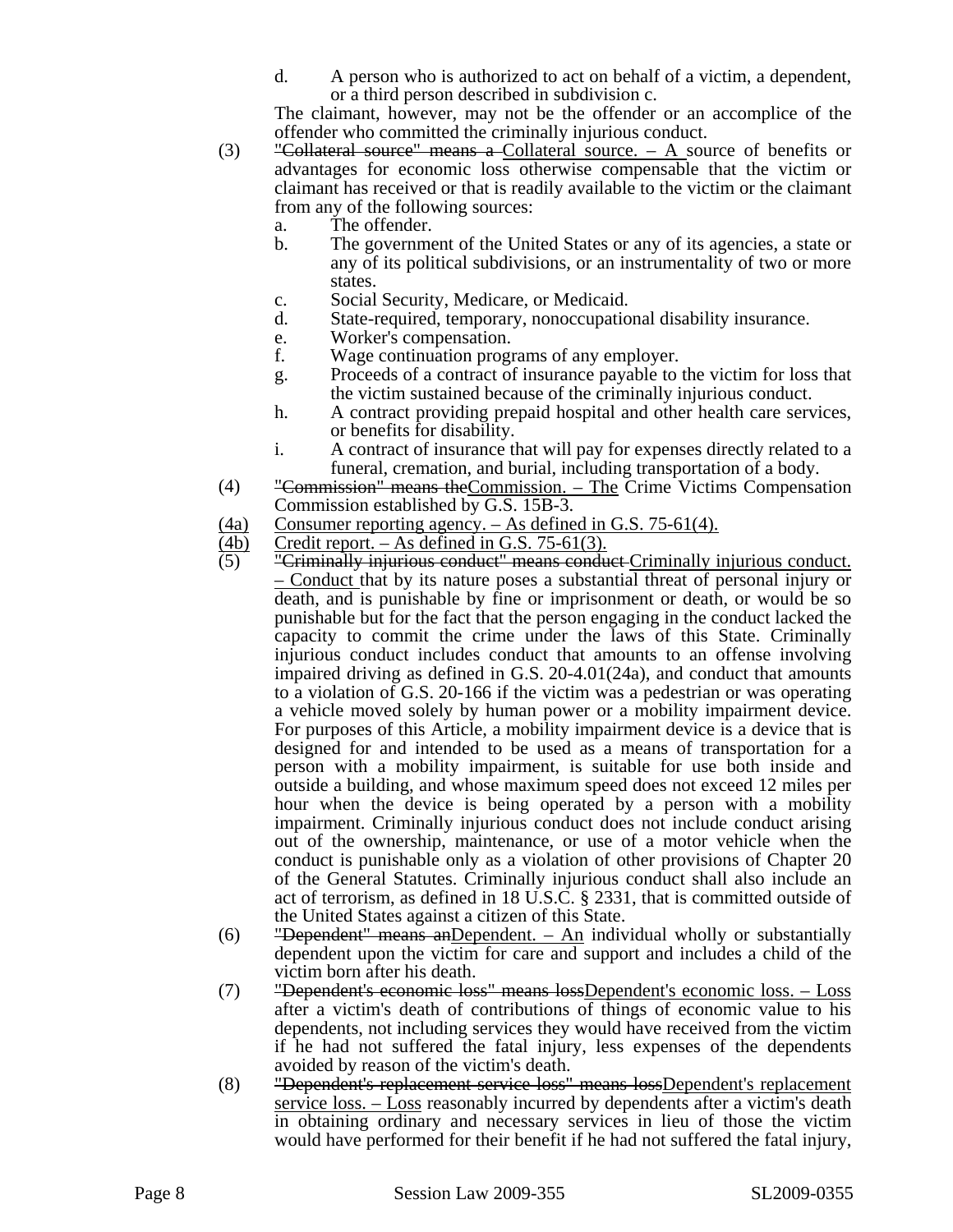d. A person who is authorized to act on behalf of a victim, a dependent, or a third person described in subdivision c.

The claimant, however, may not be the offender or an accomplice of the offender who committed the criminally injurious conduct.

- (3) "Collateral source" means a Collateral source.  $-$  A source of benefits or advantages for economic loss otherwise compensable that the victim or claimant has received or that is readily available to the victim or the claimant from any of the following sources:
	- a. The offender.
	- b. The government of the United States or any of its agencies, a state or any of its political subdivisions, or an instrumentality of two or more states.
	- c. Social Security, Medicare, or Medicaid.
	- d. State-required, temporary, nonoccupational disability insurance.
	- e. Worker's compensation.
	- f. Wage continuation programs of any employer.
	- g. Proceeds of a contract of insurance payable to the victim for loss that the victim sustained because of the criminally injurious conduct.
	- h. A contract providing prepaid hospital and other health care services, or benefits for disability.
	- i. A contract of insurance that will pay for expenses directly related to a funeral, cremation, and burial, including transportation of a body.
- (4) "Commission" means theCommission. The Crime Victims Compensation Commission established by G.S. 15B-3.
- (4a) Consumer reporting agency. As defined in G.S. 75-61(4).<br>
(4b) Credit report. As defined in G.S. 75-61(3).
- $\frac{(4b)}{(5)}$  Credit report. As defined in G.S. 75-61(3).<br>(5) "Criminally injurious conduct" means condu
- "Criminally injurious conduct" means conduct Criminally injurious conduct. – Conduct that by its nature poses a substantial threat of personal injury or death, and is punishable by fine or imprisonment or death, or would be so punishable but for the fact that the person engaging in the conduct lacked the capacity to commit the crime under the laws of this State. Criminally injurious conduct includes conduct that amounts to an offense involving impaired driving as defined in G.S. 20-4.01(24a), and conduct that amounts to a violation of G.S. 20-166 if the victim was a pedestrian or was operating a vehicle moved solely by human power or a mobility impairment device. For purposes of this Article, a mobility impairment device is a device that is designed for and intended to be used as a means of transportation for a person with a mobility impairment, is suitable for use both inside and outside a building, and whose maximum speed does not exceed 12 miles per hour when the device is being operated by a person with a mobility impairment. Criminally injurious conduct does not include conduct arising out of the ownership, maintenance, or use of a motor vehicle when the conduct is punishable only as a violation of other provisions of Chapter 20 of the General Statutes. Criminally injurious conduct shall also include an act of terrorism, as defined in 18 U.S.C. § 2331, that is committed outside of the United States against a citizen of this State.
- (6) "Dependent" means an Dependent.  $-$  An individual wholly or substantially dependent upon the victim for care and support and includes a child of the victim born after his death.
- (7) "Dependent's economic loss" means lossDependent's economic loss. Loss after a victim's death of contributions of things of economic value to his dependents, not including services they would have received from the victim if he had not suffered the fatal injury, less expenses of the dependents avoided by reason of the victim's death.
- (8) "Dependent's replacement service loss" means lossDependent's replacement service loss. – Loss reasonably incurred by dependents after a victim's death in obtaining ordinary and necessary services in lieu of those the victim would have performed for their benefit if he had not suffered the fatal injury,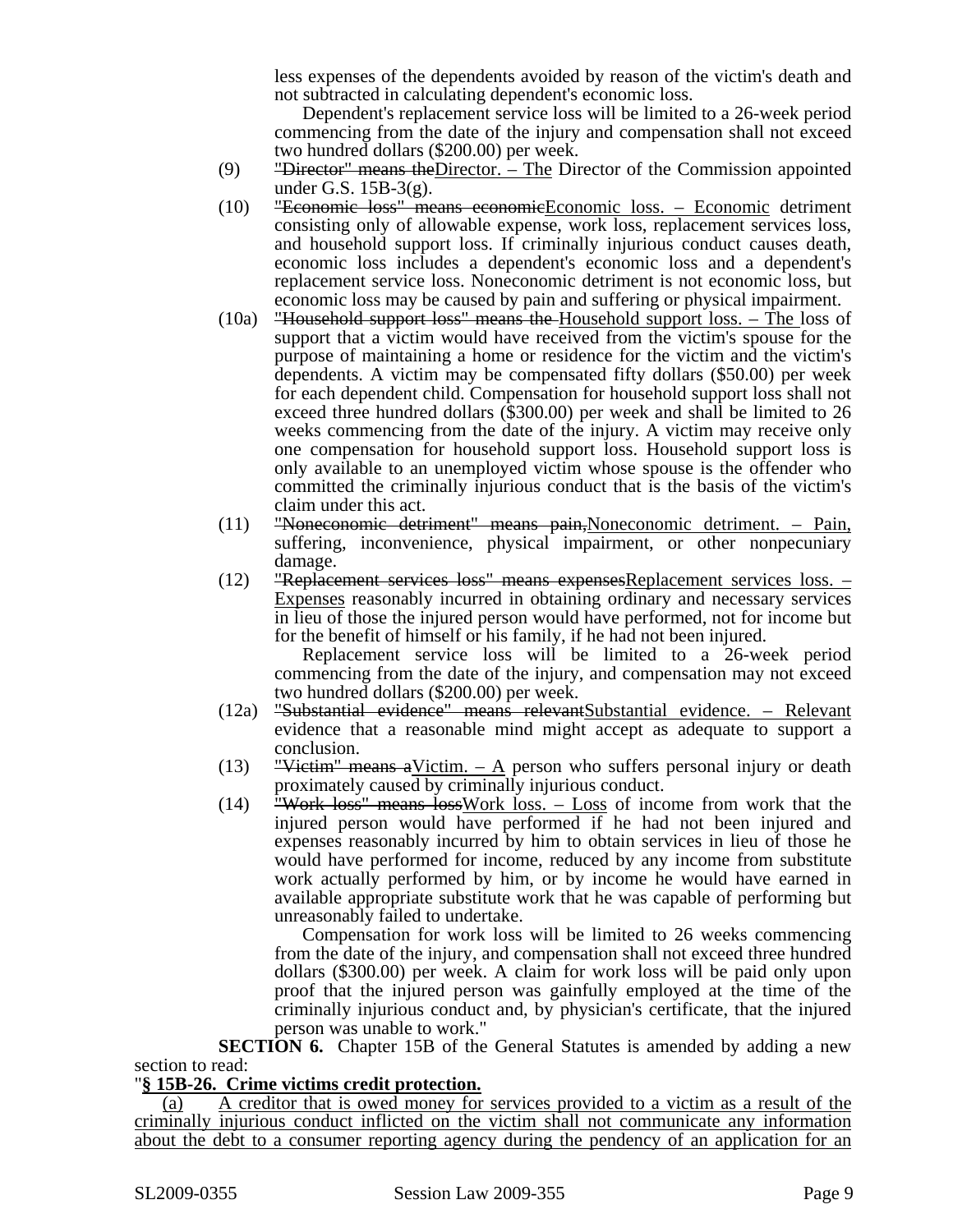less expenses of the dependents avoided by reason of the victim's death and not subtracted in calculating dependent's economic loss.

Dependent's replacement service loss will be limited to a 26-week period commencing from the date of the injury and compensation shall not exceed two hundred dollars (\$200.00) per week.

- (9) "Director" means the Director.  $-$  The Director of the Commission appointed under G.S. 15B-3(g).
- (10) "Economic loss" means economicEconomic loss. Economic detriment consisting only of allowable expense, work loss, replacement services loss, and household support loss. If criminally injurious conduct causes death, economic loss includes a dependent's economic loss and a dependent's replacement service loss. Noneconomic detriment is not economic loss, but economic loss may be caused by pain and suffering or physical impairment.
- (10a) "Household support loss" means the Household support loss. The loss of support that a victim would have received from the victim's spouse for the purpose of maintaining a home or residence for the victim and the victim's dependents. A victim may be compensated fifty dollars (\$50.00) per week for each dependent child. Compensation for household support loss shall not exceed three hundred dollars (\$300.00) per week and shall be limited to 26 weeks commencing from the date of the injury. A victim may receive only one compensation for household support loss. Household support loss is only available to an unemployed victim whose spouse is the offender who committed the criminally injurious conduct that is the basis of the victim's claim under this act.
- (11) "Noneconomic detriment" means pain,Noneconomic detriment. Pain, suffering, inconvenience, physical impairment, or other nonpecuniary damage.
- (12) "Replacement services loss" means expensesReplacement services loss. Expenses reasonably incurred in obtaining ordinary and necessary services in lieu of those the injured person would have performed, not for income but for the benefit of himself or his family, if he had not been injured.

Replacement service loss will be limited to a 26-week period commencing from the date of the injury, and compensation may not exceed two hundred dollars (\$200.00) per week.

- (12a) "Substantial evidence" means relevantSubstantial evidence. Relevant evidence that a reasonable mind might accept as adequate to support a conclusion.
- (13) "Victim" means a Victim.  $-$  A person who suffers personal injury or death proximately caused by criminally injurious conduct.
- (14) "Work loss" means loss Work loss.  $-$  Loss of income from work that the injured person would have performed if he had not been injured and expenses reasonably incurred by him to obtain services in lieu of those he would have performed for income, reduced by any income from substitute work actually performed by him, or by income he would have earned in available appropriate substitute work that he was capable of performing but unreasonably failed to undertake.

Compensation for work loss will be limited to 26 weeks commencing from the date of the injury, and compensation shall not exceed three hundred dollars (\$300.00) per week. A claim for work loss will be paid only upon proof that the injured person was gainfully employed at the time of the criminally injurious conduct and, by physician's certificate, that the injured person was unable to work."

**SECTION 6.** Chapter 15B of the General Statutes is amended by adding a new section to read:

## "**§ 15B-26. Crime victims credit protection.**

(a) A creditor that is owed money for services provided to a victim as a result of the criminally injurious conduct inflicted on the victim shall not communicate any information about the debt to a consumer reporting agency during the pendency of an application for an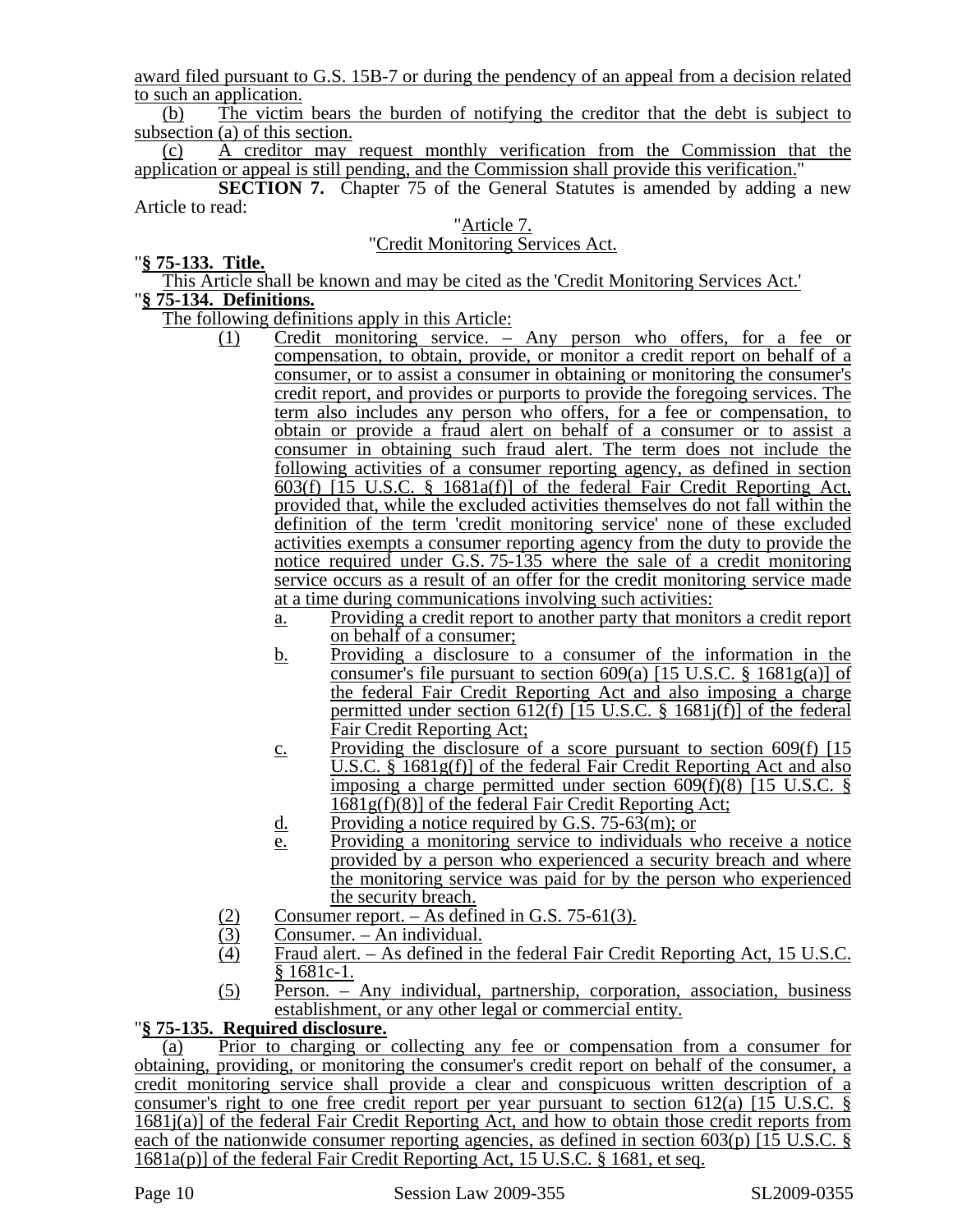award filed pursuant to G.S. 15B-7 or during the pendency of an appeal from a decision related to such an application.

(b) The victim bears the burden of notifying the creditor that the debt is subject to subsection (a) of this section.

(c) A creditor may request monthly verification from the Commission that the application or appeal is still pending, and the Commission shall provide this verification."

**SECTION 7.** Chapter 75 of the General Statutes is amended by adding a new Article to read:

### "Article 7. "Credit Monitoring Services Act.

## "**§ 75-133. Title.**

This Article shall be known and may be cited as the 'Credit Monitoring Services Act.' "**§ 75-134. Definitions.**

The following definitions apply in this Article:

- (1) Credit monitoring service. Any person who offers, for a fee or compensation, to obtain, provide, or monitor a credit report on behalf of a consumer, or to assist a consumer in obtaining or monitoring the consumer's credit report, and provides or purports to provide the foregoing services. The term also includes any person who offers, for a fee or compensation, to obtain or provide a fraud alert on behalf of a consumer or to assist a consumer in obtaining such fraud alert. The term does not include the following activities of a consumer reporting agency, as defined in section 603(f) [15 U.S.C. § 1681a(f)] of the federal Fair Credit Reporting Act, provided that, while the excluded activities themselves do not fall within the definition of the term 'credit monitoring service' none of these excluded activities exempts a consumer reporting agency from the duty to provide the notice required under G.S. 75-135 where the sale of a credit monitoring service occurs as a result of an offer for the credit monitoring service made at a time during communications involving such activities:
	- a. Providing a credit report to another party that monitors a credit report on behalf of a consumer;
	- b. Providing a disclosure to a consumer of the information in the consumer's file pursuant to section  $609(a)$  [15 U.S.C. § 1681g(a)] of the federal Fair Credit Reporting Act and also imposing a charge permitted under section 612(f) [15 U.S.C. § 1681 $j(f)$ ] of the federal Fair Credit Reporting Act;
	- c. Providing the disclosure of a score pursuant to section  $609(f)$  [15] U.S.C. § 1681g(f)] of the federal Fair Credit Reporting Act and also imposing a charge permitted under section 609(f)(8) [15 U.S.C. §  $1681g(f)(8)$ ] of the federal Fair Credit Reporting Act;
	- d. Providing a notice required by G.S. 75-63 $(m)$ ; or
	- e. Providing a monitoring service to individuals who receive a notice provided by a person who experienced a security breach and where the monitoring service was paid for by the person who experienced the security breach.
- 
- Consumer. An individual.
- (2) Consumer report. As defined in G.S. 75-61(3).<br>
(3) Consumer. An individual.<br>
(4) Fraud alert. As defined in the federal Fair Cred Fraud alert. – As defined in the federal Fair Credit Reporting Act, 15 U.S.C. § 1681c-1.
- (5) Person. Any individual, partnership, corporation, association, business establishment, or any other legal or commercial entity. "**§ 75-135. Required disclosure.**

(a) Prior to charging or collecting any fee or compensation from a consumer for obtaining, providing, or monitoring the consumer's credit report on behalf of the consumer, a credit monitoring service shall provide a clear and conspicuous written description of a consumer's right to one free credit report per year pursuant to section 612(a)  $[1\overline{5} \text{ U.S.C. }$ 1681j(a)] of the federal Fair Credit Reporting Act, and how to obtain those credit reports from each of the nationwide consumer reporting agencies, as defined in section 603(p) [15 U.S.C. § 1681a(p)] of the federal Fair Credit Reporting Act, 15 U.S.C. § 1681, et seq.